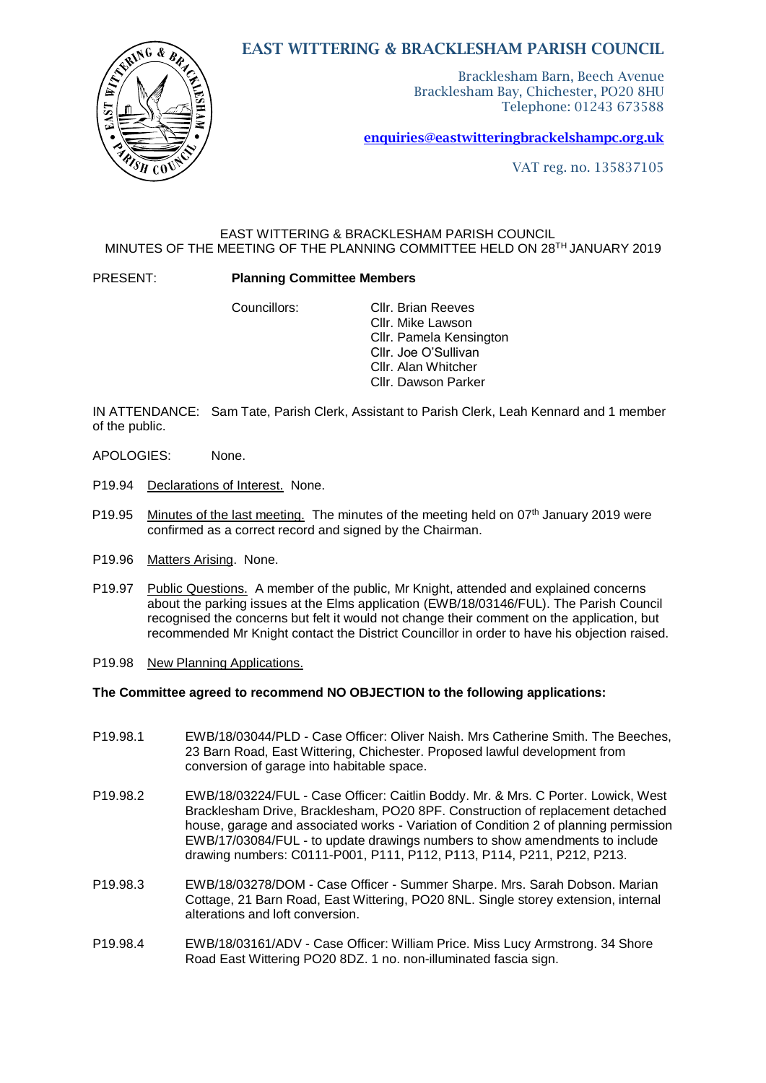# EAST WITTERING & BRACKLESHAM PARISH COUNCIL

Bracklesham Barn, Beech Avenue Bracklesham Bay, Chichester, PO20 8HU Telephone: 01243 673588

[enquiries@eastwitteringb](mailto:enquiries@eastwittering)rackelshampc.org.uk

VAT reg. no. 135837105

## EAST WITTERING & BRACKLESHAM PARISH COUNCIL MINUTES OF THE MEETING OF THE PLANNING COMMITTEE HELD ON 28TH JANUARY 2019

PRESENT: **Planning Committee Members**

Councillors: Cllr. Brian Reeves Cllr. Mike Lawson Cllr. Pamela Kensington Cllr. Joe O'Sullivan Cllr. Alan Whitcher Cllr. Dawson Parker

IN ATTENDANCE: Sam Tate, Parish Clerk, Assistant to Parish Clerk, Leah Kennard and 1 member of the public.

- APOLOGIES: None.
- P19.94 Declarations of Interest. None.
- P19.95 Minutes of the last meeting. The minutes of the meeting held on 07<sup>th</sup> January 2019 were confirmed as a correct record and signed by the Chairman.
- P19.96 Matters Arising. None.
- P19.97 Public Questions. A member of the public, Mr Knight, attended and explained concerns about the parking issues at the Elms application (EWB/18/03146/FUL). The Parish Council recognised the concerns but felt it would not change their comment on the application, but recommended Mr Knight contact the District Councillor in order to have his objection raised.
- P19.98 New Planning Applications.

### **The Committee agreed to recommend NO OBJECTION to the following applications:**

- P19.98.1 EWB/18/03044/PLD Case Officer: Oliver Naish. Mrs Catherine Smith. The Beeches, 23 Barn Road, East Wittering, Chichester. Proposed lawful development from conversion of garage into habitable space.
- P19.98.2 EWB/18/03224/FUL Case Officer: Caitlin Boddy. Mr. & Mrs. C Porter. Lowick, West Bracklesham Drive, Bracklesham, PO20 8PF. Construction of replacement detached house, garage and associated works - Variation of Condition 2 of planning permission EWB/17/03084/FUL - to update drawings numbers to show amendments to include drawing numbers: C0111-P001, P111, P112, P113, P114, P211, P212, P213.
- P19.98.3 EWB/18/03278/DOM Case Officer Summer Sharpe. Mrs. Sarah Dobson. Marian Cottage, 21 Barn Road, East Wittering, PO20 8NL. Single storey extension, internal alterations and loft conversion.
- P19.98.4 EWB/18/03161/ADV Case Officer: William Price. Miss Lucy Armstrong. 34 Shore Road East Wittering PO20 8DZ. 1 no. non-illuminated fascia sign.